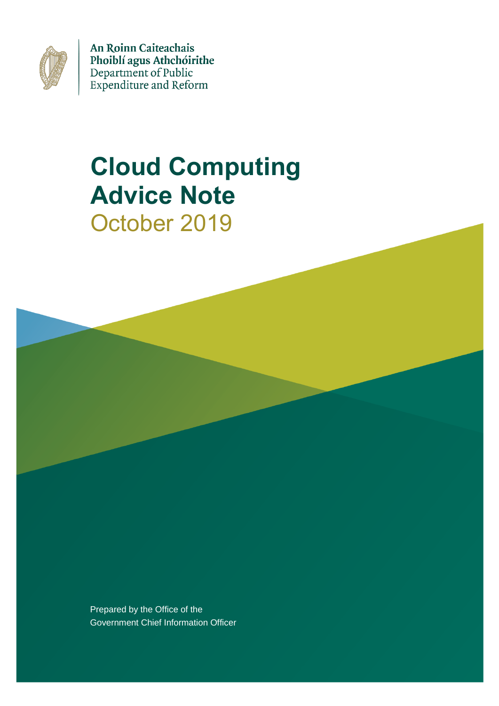

An Roinn Caiteachais Phoiblí agus Athchóirithe Department of Public Expenditure and Reform

# **Cloud Computing Advice Note** October 2019

Prepared by the Office of the Government Chief Information Officer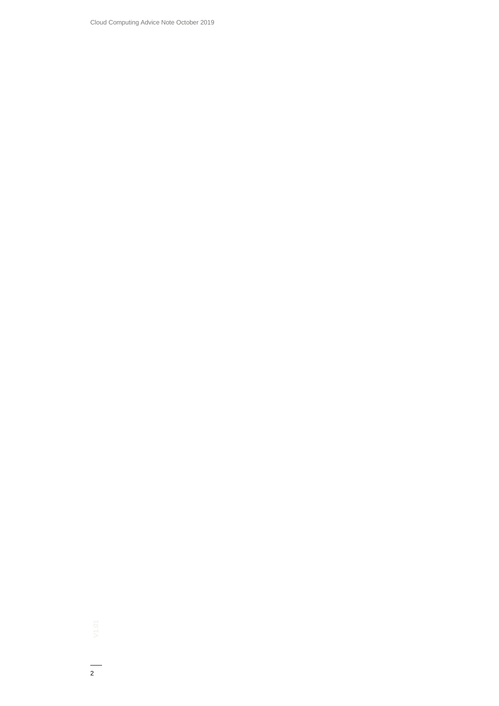Cloud Computing Advice Note October 2019

 $\frac{1}{2}$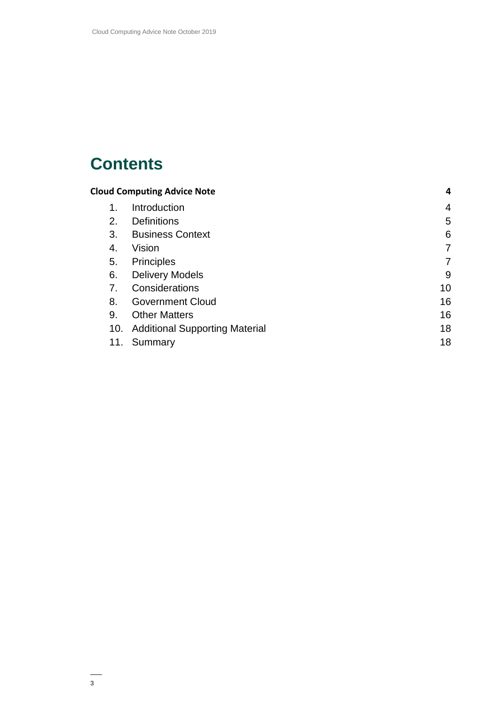# **Contents**

| <b>Cloud Computing Advice Note</b> |                                       | 4  |
|------------------------------------|---------------------------------------|----|
| 1.                                 | Introduction                          | 4  |
| 2.                                 | <b>Definitions</b>                    | 5  |
| 3.                                 | <b>Business Context</b>               | 6  |
| 4.                                 | Vision                                | 7  |
| 5.                                 | <b>Principles</b>                     | 7  |
| 6.                                 | <b>Delivery Models</b>                | 9  |
| 7.                                 | Considerations                        | 10 |
| 8.                                 | <b>Government Cloud</b>               | 16 |
| 9.                                 | <b>Other Matters</b>                  | 16 |
| 10.                                | <b>Additional Supporting Material</b> | 18 |
| 11.                                | Summary                               | 18 |
|                                    |                                       |    |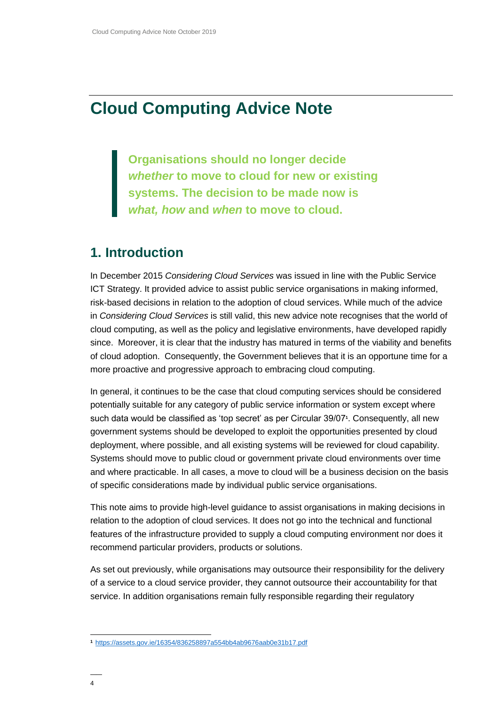# **Cloud Computing Advice Note**

**Organisations should no longer decide** *whether* **to move to cloud for new or existing systems. The decision to be made now is**  *what, how* **and** *when* **to move to cloud.**

### **1. Introduction**

In December 2015 *Considering Cloud Services* was issued in line with the Public Service ICT Strategy. It provided advice to assist public service organisations in making informed, risk-based decisions in relation to the adoption of cloud services. While much of the advice in *Considering Cloud Services* is still valid, this new advice note recognises that the world of cloud computing, as well as the policy and legislative environments, have developed rapidly since. Moreover, it is clear that the industry has matured in terms of the viability and benefits of cloud adoption. Consequently, the Government believes that it is an opportune time for a more proactive and progressive approach to embracing cloud computing.

In general, it continues to be the case that cloud computing services should be considered potentially suitable for any category of public service information or system except where such data would be classified as 'top secret' as per Circular 39/07**<sup>1</sup>** . Consequently, all new government systems should be developed to exploit the opportunities presented by cloud deployment, where possible, and all existing systems will be reviewed for cloud capability. Systems should move to public cloud or government private cloud environments over time and where practicable. In all cases, a move to cloud will be a business decision on the basis of specific considerations made by individual public service organisations.

This note aims to provide high-level guidance to assist organisations in making decisions in relation to the adoption of cloud services. It does not go into the technical and functional features of the infrastructure provided to supply a cloud computing environment nor does it recommend particular providers, products or solutions.

As set out previously, while organisations may outsource their responsibility for the delivery of a service to a cloud service provider, they cannot outsource their accountability for that service. In addition organisations remain fully responsible regarding their regulatory

**<sup>1</sup>** <https://assets.gov.ie/16354/836258897a554bb4ab9676aab0e31b17.pdf>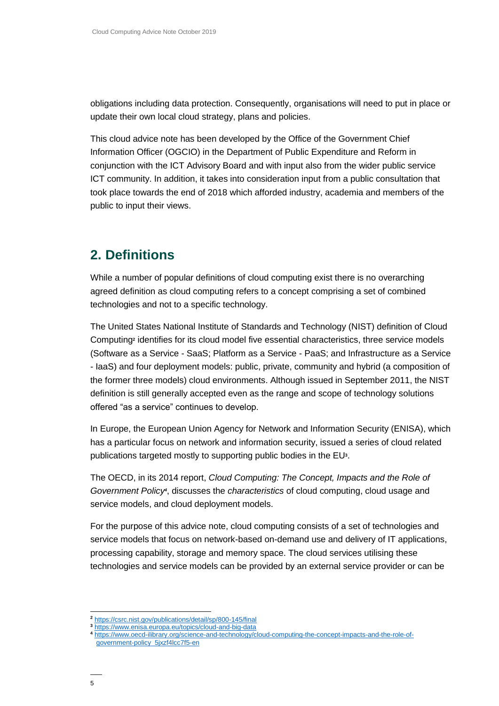obligations including data protection. Consequently, organisations will need to put in place or update their own local cloud strategy, plans and policies.

This cloud advice note has been developed by the Office of the Government Chief Information Officer (OGCIO) in the Department of Public Expenditure and Reform in conjunction with the ICT Advisory Board and with input also from the wider public service ICT community. In addition, it takes into consideration input from a public consultation that took place towards the end of 2018 which afforded industry, academia and members of the public to input their views.

### **2. Definitions**

While a number of popular definitions of cloud computing exist there is no overarching agreed definition as cloud computing refers to a concept comprising a set of combined technologies and not to a specific technology.

The United States National Institute of Standards and Technology (NIST) definition of Cloud Computing**<sup>2</sup>** identifies for its cloud model five essential characteristics, three service models (Software as a Service - SaaS; Platform as a Service - PaaS; and Infrastructure as a Service - IaaS) and four deployment models: public, private, community and hybrid (a composition of the former three models) cloud environments. Although issued in September 2011, the NIST definition is still generally accepted even as the range and scope of technology solutions offered "as a service" continues to develop.

In Europe, the European Union Agency for Network and Information Security (ENISA), which has a particular focus on network and information security, issued a series of cloud related publications targeted mostly to supporting public bodies in the EU**<sup>3</sup>** .

The OECD, in its 2014 report, *Cloud Computing: The Concept, Impacts and the Role of Government Policy<sup>4</sup>* , discusses the *characteristics* of cloud computing, cloud usage and service models, and cloud deployment models.

For the purpose of this advice note, cloud computing consists of a set of technologies and service models that focus on network-based on-demand use and delivery of IT applications, processing capability, storage and memory space. The cloud services utilising these technologies and service models can be provided by an external service provider or can be

**<sup>2</sup>** <https://csrc.nist.gov/publications/detail/sp/800-145/final>

**<sup>3</sup>** <https://www.enisa.europa.eu/topics/cloud-and-big-data>

**<sup>4</sup>** [https://www.oecd-ilibrary.org/science-and-technology/cloud-computing-the-concept-impacts-and-the-role-of](https://www.oecd-ilibrary.org/science-and-technology/cloud-computing-the-concept-impacts-and-the-role-of-government-policy_5jxzf4lcc7f5-en)[government-policy\\_5jxzf4lcc7f5-en](https://www.oecd-ilibrary.org/science-and-technology/cloud-computing-the-concept-impacts-and-the-role-of-government-policy_5jxzf4lcc7f5-en)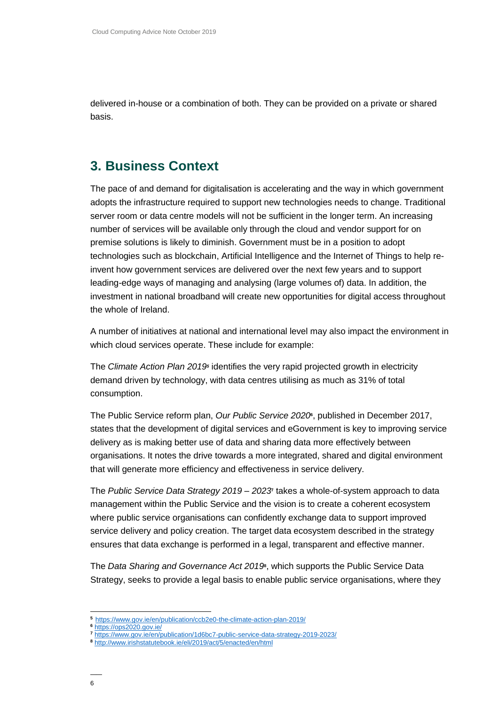delivered in-house or a combination of both. They can be provided on a private or shared basis.

### **3. Business Context**

The pace of and demand for digitalisation is accelerating and the way in which government adopts the infrastructure required to support new technologies needs to change. Traditional server room or data centre models will not be sufficient in the longer term. An increasing number of services will be available only through the cloud and vendor support for on premise solutions is likely to diminish. Government must be in a position to adopt technologies such as blockchain, Artificial Intelligence and the Internet of Things to help reinvent how government services are delivered over the next few years and to support leading-edge ways of managing and analysing (large volumes of) data. In addition, the investment in national broadband will create new opportunities for digital access throughout the whole of Ireland.

A number of initiatives at national and international level may also impact the environment in which cloud services operate. These include for example:

The *Climate Action Plan 2019*<sup>5</sup> identifies the very rapid projected growth in electricity demand driven by technology, with data centres utilising as much as 31% of total consumption.

The Public Service reform plan, *Our Public Service 2020***<sup>6</sup>** , published in December 2017, states that the development of digital services and eGovernment is key to improving service delivery as is making better use of data and sharing data more effectively between organisations. It notes the drive towards a more integrated, shared and digital environment that will generate more efficiency and effectiveness in service delivery.

The *Public Service Data Strategy 2019 – 2023***<sup>7</sup>** takes a whole-of-system approach to data management within the Public Service and the vision is to create a coherent ecosystem where public service organisations can confidently exchange data to support improved service delivery and policy creation. The target data ecosystem described in the strategy ensures that data exchange is performed in a legal, transparent and effective manner.

The *Data Sharing and Governance Act 2019***<sup>8</sup>** , which supports the Public Service Data Strategy, seeks to provide a legal basis to enable public service organisations, where they

 $\overline{a}$ **<sup>5</sup>** <https://www.gov.ie/en/publication/ccb2e0-the-climate-action-plan-2019/>

**<sup>6</sup>** <https://ops2020.gov.ie/>

**<sup>7</sup>** <https://www.gov.ie/en/publication/1d6bc7-public-service-data-strategy-2019-2023/>

**<sup>8</sup>** <http://www.irishstatutebook.ie/eli/2019/act/5/enacted/en/html>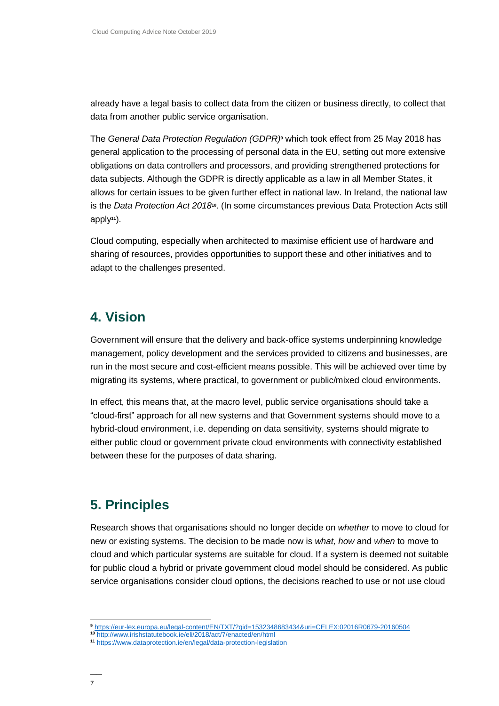already have a legal basis to collect data from the citizen or business directly, to collect that data from another public service organisation.

The *General Data Protection Regulation (GDPR)***<sup>9</sup>** which took effect from 25 May 2018 has general application to the processing of personal data in the EU, setting out more extensive obligations on data controllers and processors, and providing strengthened protections for data subjects. Although the GDPR is directly applicable as a law in all Member States, it allows for certain issues to be given further effect in national law. In Ireland, the national law is the *Data Protection Act 2018*<sup>0</sup>. (In some circumstances previous Data Protection Acts still apply**11**).

Cloud computing, especially when architected to maximise efficient use of hardware and sharing of resources, provides opportunities to support these and other initiatives and to adapt to the challenges presented.

### **4. Vision**

Government will ensure that the delivery and back-office systems underpinning knowledge management, policy development and the services provided to citizens and businesses, are run in the most secure and cost-efficient means possible. This will be achieved over time by migrating its systems, where practical, to government or public/mixed cloud environments.

In effect, this means that, at the macro level, public service organisations should take a "cloud-first" approach for all new systems and that Government systems should move to a hybrid-cloud environment, i.e. depending on data sensitivity, systems should migrate to either public cloud or government private cloud environments with connectivity established between these for the purposes of data sharing.

### **5. Principles**

Research shows that organisations should no longer decide on *whether* to move to cloud for new or existing systems. The decision to be made now is *what, how* and *when* to move to cloud and which particular systems are suitable for cloud. If a system is deemed not suitable for public cloud a hybrid or private government cloud model should be considered. As public service organisations consider cloud options, the decisions reached to use or not use cloud

 $\overline{a}$ **<sup>9</sup>** <https://eur-lex.europa.eu/legal-content/EN/TXT/?qid=1532348683434&uri=CELEX:02016R0679-20160504>

**<sup>10</sup>** <http://www.irishstatutebook.ie/eli/2018/act/7/enacted/en/html>

**<sup>11</sup>** <https://www.dataprotection.ie/en/legal/data-protection-legislation>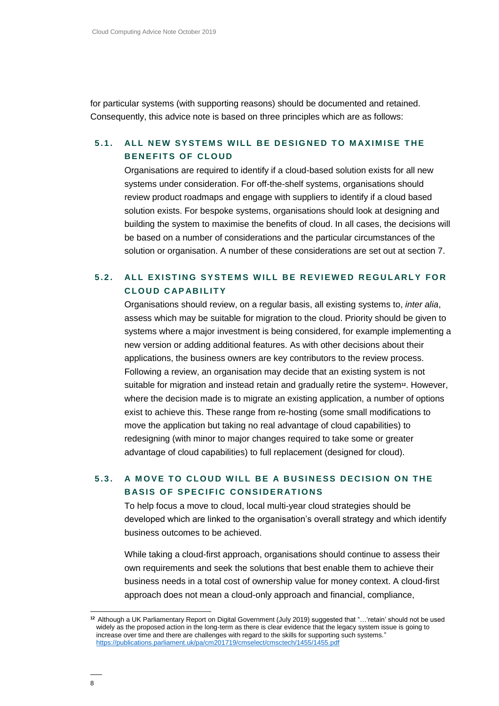for particular systems (with supporting reasons) should be documented and retained. Consequently, this advice note is based on three principles which are as follows:

#### **5.1. ALL NEW SYSTEMS WILL BE DESIGNED TO MAXIMISE THE BENEFITS OF CLOUD**

Organisations are required to identify if a cloud-based solution exists for all new systems under consideration. For off-the-shelf systems, organisations should review product roadmaps and engage with suppliers to identify if a cloud based solution exists. For bespoke systems, organisations should look at designing and building the system to maximise the benefits of cloud. In all cases, the decisions will be based on a number of considerations and the particular circumstances of the solution or organisation. A number of these considerations are set out at section 7.

#### **5.2. AL L E X I S T I N G S Y S T E M S W I L L B E R E V I E W E D R E G U L AR L Y F O R C L O U D C AP AB I L I T Y**

Organisations should review, on a regular basis, all existing systems to, *inter alia*, assess which may be suitable for migration to the cloud. Priority should be given to systems where a major investment is being considered, for example implementing a new version or adding additional features. As with other decisions about their applications, the business owners are key contributors to the review process. Following a review, an organisation may decide that an existing system is not suitable for migration and instead retain and gradually retire the system<sup>12</sup>. However, where the decision made is to migrate an existing application, a number of options exist to achieve this. These range from re-hosting (some small modifications to move the application but taking no real advantage of cloud capabilities) to redesigning (with minor to major changes required to take some or greater advantage of cloud capabilities) to full replacement (designed for cloud).

#### **5.3. A M O V E T O C L O U D W I L L B E A B U S I N E S S D E C I S I O N O N T H E BASIS OF SPECIFIC CONSIDERATIONS**

To help focus a move to cloud, local multi-year cloud strategies should be developed which are linked to the organisation's overall strategy and which identify business outcomes to be achieved.

While taking a cloud-first approach, organisations should continue to assess their own requirements and seek the solutions that best enable them to achieve their business needs in a total cost of ownership value for money context. A cloud-first approach does not mean a cloud-only approach and financial, compliance,

**<sup>12</sup>** Although a UK Parliamentary Report on Digital Government (July 2019) suggested that "…'retain' should not be used widely as the proposed action in the long-term as there is clear evidence that the legacy system issue is going to increase over time and there are challenges with regard to the skills for supporting such systems." <https://publications.parliament.uk/pa/cm201719/cmselect/cmsctech/1455/1455.pdf>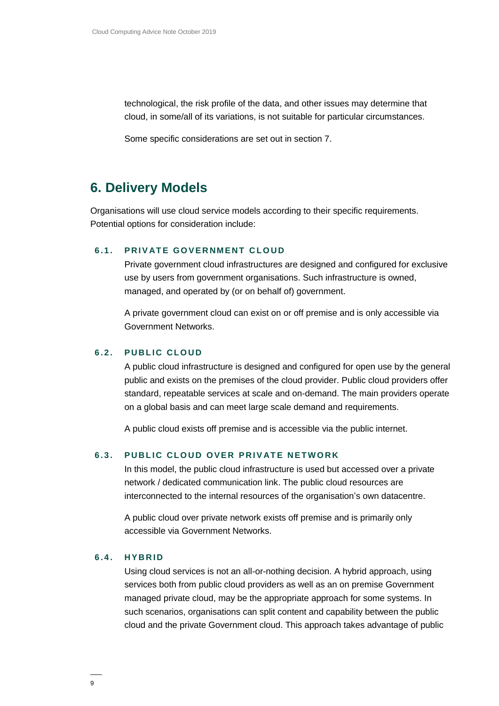technological, the risk profile of the data, and other issues may determine that cloud, in some/all of its variations, is not suitable for particular circumstances.

Some specific considerations are set out in section 7.

### **6. Delivery Models**

Organisations will use cloud service models according to their specific requirements. Potential options for consideration include:

#### **6.1. P R I V AT E G O V E R NM E N T C L O U D**

Private government cloud infrastructures are designed and configured for exclusive use by users from government organisations. Such infrastructure is owned, managed, and operated by (or on behalf of) government.

A private government cloud can exist on or off premise and is only accessible via Government Networks.

#### **6.2. P U B L I C C L O U D**

A public cloud infrastructure is designed and configured for open use by the general public and exists on the premises of the cloud provider. Public cloud providers offer standard, repeatable services at scale and on-demand. The main providers operate on a global basis and can meet large scale demand and requirements.

A public cloud exists off premise and is accessible via the public internet.

#### **6.3. P U B L I C C L O U D O V E R P R I V AT E N E T W O R K**

In this model, the public cloud infrastructure is used but accessed over a private network / dedicated communication link. The public cloud resources are interconnected to the internal resources of the organisation's own datacentre.

A public cloud over private network exists off premise and is primarily only accessible via Government Networks.

#### **6.4. H Y B R I D**

Using cloud services is not an all-or-nothing decision. A hybrid approach, using services both from public cloud providers as well as an on premise Government managed private cloud, may be the appropriate approach for some systems. In such scenarios, organisations can split content and capability between the public cloud and the private Government cloud. This approach takes advantage of public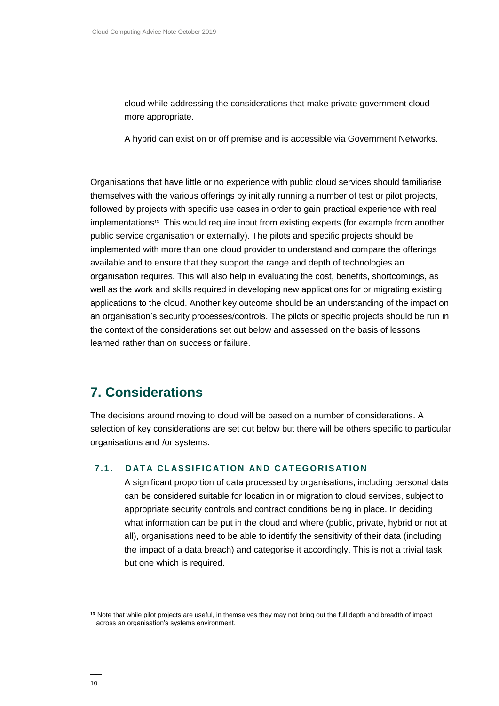cloud while addressing the considerations that make private government cloud more appropriate.

A hybrid can exist on or off premise and is accessible via Government Networks.

Organisations that have little or no experience with public cloud services should familiarise themselves with the various offerings by initially running a number of test or pilot projects, followed by projects with specific use cases in order to gain practical experience with real implementations**13**. This would require input from existing experts (for example from another public service organisation or externally). The pilots and specific projects should be implemented with more than one cloud provider to understand and compare the offerings available and to ensure that they support the range and depth of technologies an organisation requires. This will also help in evaluating the cost, benefits, shortcomings, as well as the work and skills required in developing new applications for or migrating existing applications to the cloud. Another key outcome should be an understanding of the impact on an organisation's security processes/controls. The pilots or specific projects should be run in the context of the considerations set out below and assessed on the basis of lessons learned rather than on success or failure.

### **7. Considerations**

The decisions around moving to cloud will be based on a number of considerations. A selection of key considerations are set out below but there will be others specific to particular organisations and /or systems.

#### **7.1. DATA CLASSIFICATION AND CATEGORISATION**

A significant proportion of data processed by organisations, including personal data can be considered suitable for location in or migration to cloud services, subject to appropriate security controls and contract conditions being in place. In deciding what information can be put in the cloud and where (public, private, hybrid or not at all), organisations need to be able to identify the sensitivity of their data (including the impact of a data breach) and categorise it accordingly. This is not a trivial task but one which is required.

 $\overline{a}$ **<sup>13</sup>** Note that while pilot projects are useful, in themselves they may not bring out the full depth and breadth of impact across an organisation's systems environment.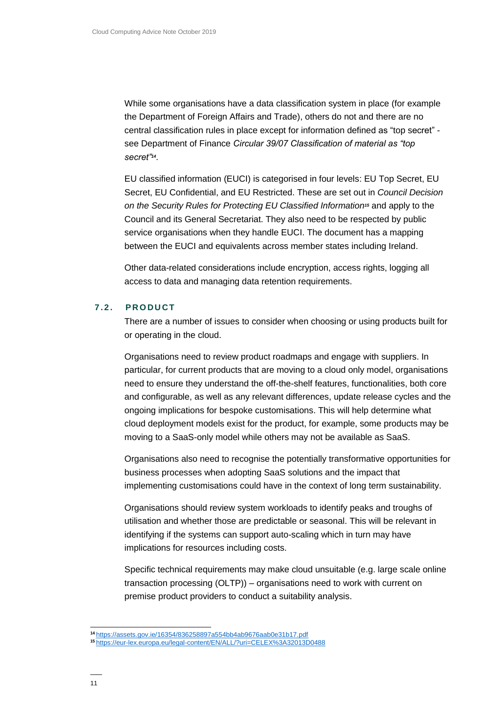While some organisations have a data classification system in place (for example the Department of Foreign Affairs and Trade), others do not and there are no central classification rules in place except for information defined as "top secret" see Department of Finance *Circular 39/07 Classification of material as "top secret"<sup>14</sup>* .

EU classified information (EUCI) is categorised in four levels: EU Top Secret, EU Secret, EU Confidential, and EU Restricted. These are set out in *Council Decision on the Security Rules for Protecting EU Classified Information<sup>15</sup>* and apply to the Council and its General Secretariat. They also need to be respected by public service organisations when they handle EUCI. The document has a mapping between the EUCI and equivalents across member states including Ireland.

Other data-related considerations include encryption, access rights, logging all access to data and managing data retention requirements.

#### **7.2. P R O D U C T**

There are a number of issues to consider when choosing or using products built for or operating in the cloud.

Organisations need to review product roadmaps and engage with suppliers. In particular, for current products that are moving to a cloud only model, organisations need to ensure they understand the off-the-shelf features, functionalities, both core and configurable, as well as any relevant differences, update release cycles and the ongoing implications for bespoke customisations. This will help determine what cloud deployment models exist for the product, for example, some products may be moving to a SaaS-only model while others may not be available as SaaS.

Organisations also need to recognise the potentially transformative opportunities for business processes when adopting SaaS solutions and the impact that implementing customisations could have in the context of long term sustainability.

Organisations should review system workloads to identify peaks and troughs of utilisation and whether those are predictable or seasonal. This will be relevant in identifying if the systems can support auto-scaling which in turn may have implications for resources including costs.

Specific technical requirements may make cloud unsuitable (e.g. large scale online transaction processing (OLTP)) – organisations need to work with current on premise product providers to conduct a suitability analysis.

**<sup>14</sup>** <https://assets.gov.ie/16354/836258897a554bb4ab9676aab0e31b17.pdf>

**<sup>15</sup>** <https://eur-lex.europa.eu/legal-content/EN/ALL/?uri=CELEX%3A32013D0488>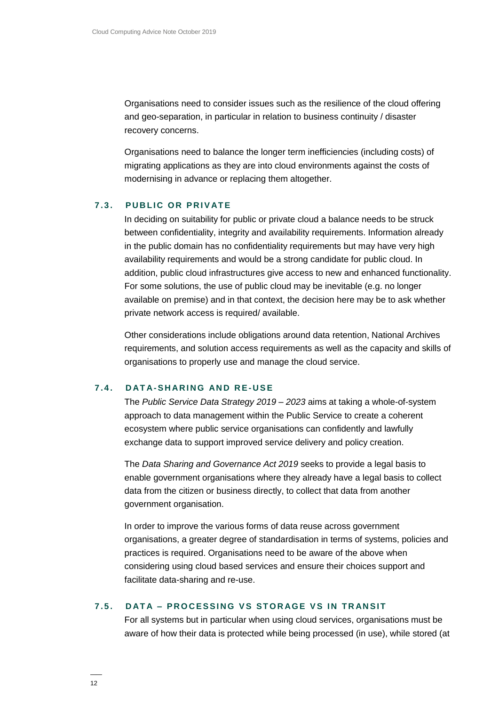Organisations need to consider issues such as the resilience of the cloud offering and geo-separation, in particular in relation to business continuity / disaster recovery concerns.

Organisations need to balance the longer term inefficiencies (including costs) of migrating applications as they are into cloud environments against the costs of modernising in advance or replacing them altogether.

#### **7.3. P U B L I C O R P R I V AT E**

In deciding on suitability for public or private cloud a balance needs to be struck between confidentiality, integrity and availability requirements. Information already in the public domain has no confidentiality requirements but may have very high availability requirements and would be a strong candidate for public cloud. In addition, public cloud infrastructures give access to new and enhanced functionality. For some solutions, the use of public cloud may be inevitable (e.g. no longer available on premise) and in that context, the decision here may be to ask whether private network access is required/ available.

Other considerations include obligations around data retention, National Archives requirements, and solution access requirements as well as the capacity and skills of organisations to properly use and manage the cloud service.

#### **7.4. D AT A-S H AR I N G AN D R E- U S E**

The *Public Service Data Strategy 2019 – 2023* aims at taking a whole-of-system approach to data management within the Public Service to create a coherent ecosystem where public service organisations can confidently and lawfully exchange data to support improved service delivery and policy creation.

The *Data Sharing and Governance Act 2019* seeks to provide a legal basis to enable government organisations where they already have a legal basis to collect data from the citizen or business directly, to collect that data from another government organisation.

In order to improve the various forms of data reuse across government organisations, a greater degree of standardisation in terms of systems, policies and practices is required. Organisations need to be aware of the above when considering using cloud based services and ensure their choices support and facilitate data-sharing and re-use.

#### **7.5. D AT A – P R O C E S S I N G VS S T O R AG E VS I N T R AN S I T**

For all systems but in particular when using cloud services, organisations must be aware of how their data is protected while being processed (in use), while stored (at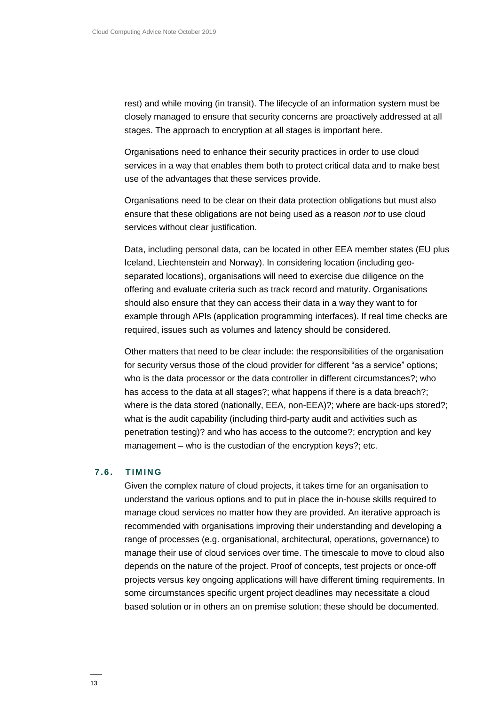rest) and while moving (in transit). The lifecycle of an information system must be closely managed to ensure that security concerns are proactively addressed at all stages. The approach to encryption at all stages is important here.

Organisations need to enhance their security practices in order to use cloud services in a way that enables them both to protect critical data and to make best use of the advantages that these services provide.

Organisations need to be clear on their data protection obligations but must also ensure that these obligations are not being used as a reason *not* to use cloud services without clear justification.

Data, including personal data, can be located in other EEA member states (EU plus Iceland, Liechtenstein and Norway). In considering location (including geoseparated locations), organisations will need to exercise due diligence on the offering and evaluate criteria such as track record and maturity. Organisations should also ensure that they can access their data in a way they want to for example through APIs (application programming interfaces). If real time checks are required, issues such as volumes and latency should be considered.

Other matters that need to be clear include: the responsibilities of the organisation for security versus those of the cloud provider for different "as a service" options; who is the data processor or the data controller in different circumstances?; who has access to the data at all stages?; what happens if there is a data breach?; where is the data stored (nationally, EEA, non-EEA)?; where are back-ups stored?; what is the audit capability (including third-party audit and activities such as penetration testing)? and who has access to the outcome?; encryption and key management – who is the custodian of the encryption keys?; etc.

#### **7.6. T I M I N G**

Given the complex nature of cloud projects, it takes time for an organisation to understand the various options and to put in place the in-house skills required to manage cloud services no matter how they are provided. An iterative approach is recommended with organisations improving their understanding and developing a range of processes (e.g. organisational, architectural, operations, governance) to manage their use of cloud services over time. The timescale to move to cloud also depends on the nature of the project. Proof of concepts, test projects or once-off projects versus key ongoing applications will have different timing requirements. In some circumstances specific urgent project deadlines may necessitate a cloud based solution or in others an on premise solution; these should be documented.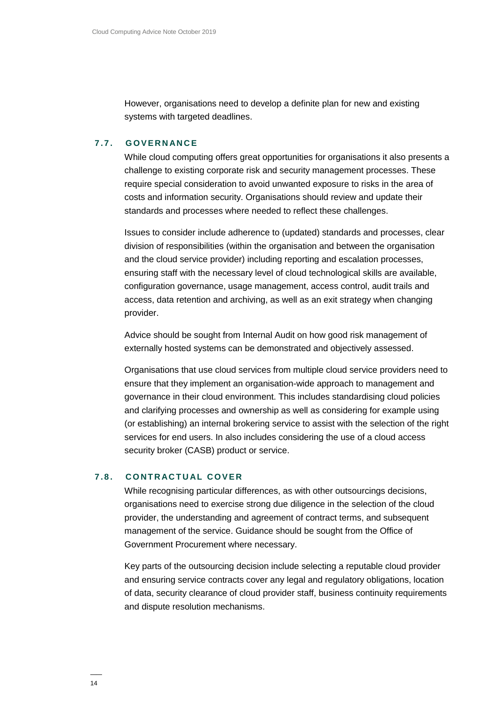However, organisations need to develop a definite plan for new and existing systems with targeted deadlines.

#### **7.7. G O V E R N AN C E**

While cloud computing offers great opportunities for organisations it also presents a challenge to existing corporate risk and security management processes. These require special consideration to avoid unwanted exposure to risks in the area of costs and information security. Organisations should review and update their standards and processes where needed to reflect these challenges.

Issues to consider include adherence to (updated) standards and processes, clear division of responsibilities (within the organisation and between the organisation and the cloud service provider) including reporting and escalation processes, ensuring staff with the necessary level of cloud technological skills are available, configuration governance, usage management, access control, audit trails and access, data retention and archiving, as well as an exit strategy when changing provider.

Advice should be sought from Internal Audit on how good risk management of externally hosted systems can be demonstrated and objectively assessed.

Organisations that use cloud services from multiple cloud service providers need to ensure that they implement an organisation-wide approach to management and governance in their cloud environment. This includes standardising cloud policies and clarifying processes and ownership as well as considering for example using (or establishing) an internal brokering service to assist with the selection of the right services for end users. In also includes considering the use of a cloud access security broker (CASB) product or service.

#### **7.8. C O N T R AC T U AL C O V E R**

While recognising particular differences, as with other outsourcings decisions, organisations need to exercise strong due diligence in the selection of the cloud provider, the understanding and agreement of contract terms, and subsequent management of the service. Guidance should be sought from the Office of Government Procurement where necessary.

Key parts of the outsourcing decision include selecting a reputable cloud provider and ensuring service contracts cover any legal and regulatory obligations, location of data, security clearance of cloud provider staff, business continuity requirements and dispute resolution mechanisms.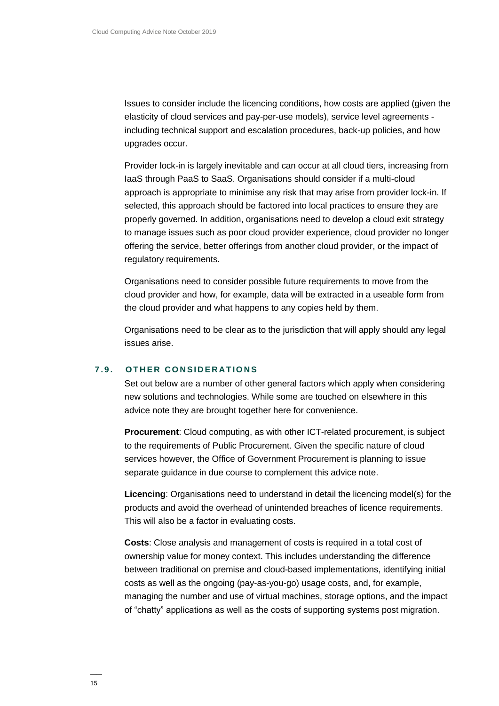Issues to consider include the licencing conditions, how costs are applied (given the elasticity of cloud services and pay-per-use models), service level agreements including technical support and escalation procedures, back-up policies, and how upgrades occur.

Provider lock-in is largely inevitable and can occur at all cloud tiers, increasing from IaaS through PaaS to SaaS. Organisations should consider if a multi-cloud approach is appropriate to minimise any risk that may arise from provider lock-in. If selected, this approach should be factored into local practices to ensure they are properly governed. In addition, organisations need to develop a cloud exit strategy to manage issues such as poor cloud provider experience, cloud provider no longer offering the service, better offerings from another cloud provider, or the impact of regulatory requirements.

Organisations need to consider possible future requirements to move from the cloud provider and how, for example, data will be extracted in a useable form from the cloud provider and what happens to any copies held by them.

Organisations need to be clear as to the jurisdiction that will apply should any legal issues arise.

#### **7.9. O T H E R C O N S I D E R AT I O N S**

Set out below are a number of other general factors which apply when considering new solutions and technologies. While some are touched on elsewhere in this advice note they are brought together here for convenience.

**Procurement**: Cloud computing, as with other ICT-related procurement, is subject to the requirements of Public Procurement. Given the specific nature of cloud services however, the Office of Government Procurement is planning to issue separate guidance in due course to complement this advice note.

**Licencing**: Organisations need to understand in detail the licencing model(s) for the products and avoid the overhead of unintended breaches of licence requirements. This will also be a factor in evaluating costs.

**Costs**: Close analysis and management of costs is required in a total cost of ownership value for money context. This includes understanding the difference between traditional on premise and cloud-based implementations, identifying initial costs as well as the ongoing (pay-as-you-go) usage costs, and, for example, managing the number and use of virtual machines, storage options, and the impact of "chatty" applications as well as the costs of supporting systems post migration.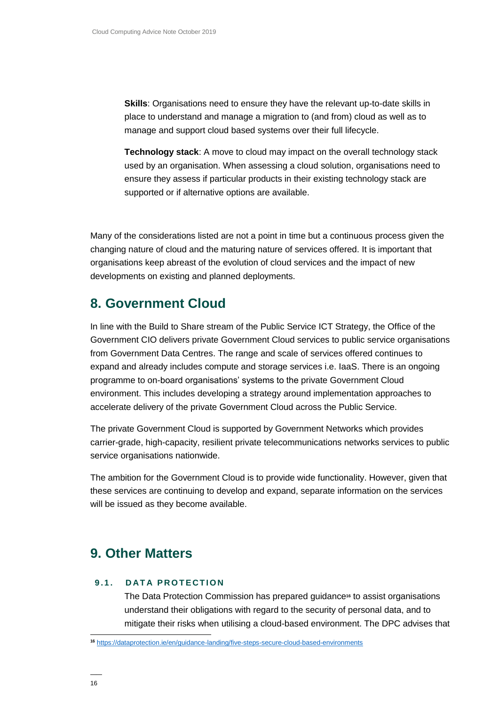**Skills**: Organisations need to ensure they have the relevant up-to-date skills in place to understand and manage a migration to (and from) cloud as well as to manage and support cloud based systems over their full lifecycle.

**Technology stack**: A move to cloud may impact on the overall technology stack used by an organisation. When assessing a cloud solution, organisations need to ensure they assess if particular products in their existing technology stack are supported or if alternative options are available.

Many of the considerations listed are not a point in time but a continuous process given the changing nature of cloud and the maturing nature of services offered. It is important that organisations keep abreast of the evolution of cloud services and the impact of new developments on existing and planned deployments.

### **8. Government Cloud**

In line with the Build to Share stream of the Public Service ICT Strategy, the Office of the Government CIO delivers private Government Cloud services to public service organisations from Government Data Centres. The range and scale of services offered continues to expand and already includes compute and storage services i.e. IaaS. There is an ongoing programme to on-board organisations' systems to the private Government Cloud environment. This includes developing a strategy around implementation approaches to accelerate delivery of the private Government Cloud across the Public Service.

The private Government Cloud is supported by Government Networks which provides carrier-grade, high-capacity, resilient private telecommunications networks services to public service organisations nationwide.

The ambition for the Government Cloud is to provide wide functionality. However, given that these services are continuing to develop and expand, separate information on the services will be issued as they become available.

### **9. Other Matters**

#### **9.1. DATA PROTECTION**

The Data Protection Commission has prepared guidance**<sup>16</sup>** to assist organisations understand their obligations with regard to the security of personal data, and to mitigate their risks when utilising a cloud-based environment. The DPC advises that

**<sup>16</sup>** <https://dataprotection.ie/en/guidance-landing/five-steps-secure-cloud-based-environments>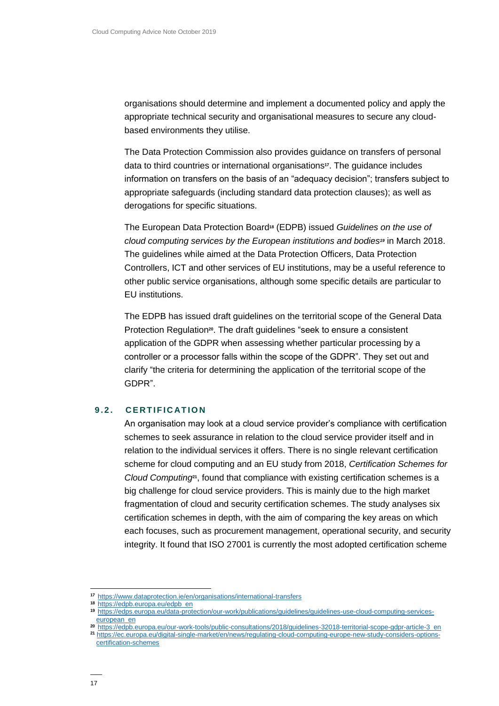organisations should determine and implement a documented policy and apply the appropriate technical security and organisational measures to secure any cloudbased environments they utilise.

The Data Protection Commission also provides guidance on transfers of personal data to third countries or international organisations**<sup>17</sup>** . The guidance includes information on transfers on the basis of an "adequacy decision"; transfers subject to appropriate safeguards (including standard data protection clauses); as well as derogations for specific situations.

The European Data Protection Board**<sup>18</sup>** (EDPB) issued *Guidelines on the use of cloud computing services by the European institutions and bodies<sup>19</sup>* in March 2018. The guidelines while aimed at the Data Protection Officers, Data Protection Controllers, ICT and other services of EU institutions, may be a useful reference to other public service organisations, although some specific details are particular to EU institutions.

The EDPB has issued draft guidelines on the territorial scope of the General Data Protection Regulation<sup>20</sup>. The draft guidelines "seek to ensure a consistent application of the GDPR when assessing whether particular processing by a controller or a processor falls within the scope of the GDPR". They set out and clarify "the criteria for determining the application of the territorial scope of the GDPR".

#### **9.2. CERTIFICATION**

An organisation may look at a cloud service provider's compliance with certification schemes to seek assurance in relation to the cloud service provider itself and in relation to the individual services it offers. There is no single relevant certification scheme for cloud computing and an EU study from 2018, *Certification Schemes for Cloud Computing***21**, found that compliance with existing certification schemes is a big challenge for cloud service providers. This is mainly due to the high market fragmentation of cloud and security certification schemes. The study analyses six certification schemes in depth, with the aim of comparing the key areas on which each focuses, such as procurement management, operational security, and security integrity. It found that ISO 27001 is currently the most adopted certification scheme

- **<sup>20</sup>** https://edpb.europa.eu/our-work-tools/public-consultations/2018/guidelines-32018-territorial-scope-gdpr-article-3\_en
- **<sup>21</sup>** [https://ec.europa.eu/digital-single-market/en/news/regulating-cloud-computing-europe-new-study-considers-options](https://ec.europa.eu/digital-single-market/en/news/regulating-cloud-computing-europe-new-study-considers-options-certification-schemes)[certification-schemes](https://ec.europa.eu/digital-single-market/en/news/regulating-cloud-computing-europe-new-study-considers-options-certification-schemes)

l

**<sup>17</sup>** <https://www.dataprotection.ie/en/organisations/international-transfers>

**<sup>18</sup>** [https://edpb.europa.eu/edpb\\_en](https://edpb.europa.eu/edpb_en)

**<sup>19</sup>** https://edps.europa.eu/data-protection/our-work/publications/guidelines/guidelines-use-cloud-computing-serviceseuropean\_en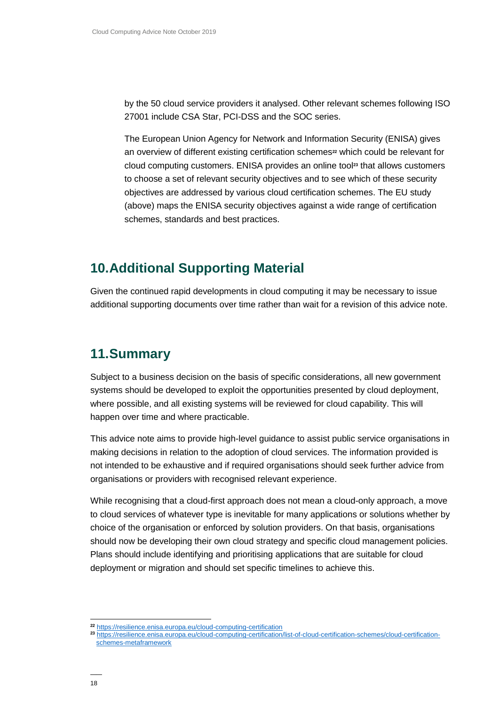by the 50 cloud service providers it analysed. Other relevant schemes following ISO 27001 include CSA Star, PCI-DSS and the SOC series.

The European Union Agency for Network and Information Security (ENISA) gives an overview of different existing certification schemes**<sup>22</sup>** which could be relevant for cloud computing customers. ENISA provides an online tool**<sup>23</sup>** that allows customers to choose a set of relevant security objectives and to see which of these security objectives are addressed by various cloud certification schemes. The EU study (above) maps the ENISA security objectives against a wide range of certification schemes, standards and best practices.

### **10.Additional Supporting Material**

Given the continued rapid developments in cloud computing it may be necessary to issue additional supporting documents over time rather than wait for a revision of this advice note.

### **11.Summary**

Subject to a business decision on the basis of specific considerations, all new government systems should be developed to exploit the opportunities presented by cloud deployment, where possible, and all existing systems will be reviewed for cloud capability. This will happen over time and where practicable.

This advice note aims to provide high-level guidance to assist public service organisations in making decisions in relation to the adoption of cloud services. The information provided is not intended to be exhaustive and if required organisations should seek further advice from organisations or providers with recognised relevant experience.

While recognising that a cloud-first approach does not mean a cloud-only approach, a move to cloud services of whatever type is inevitable for many applications or solutions whether by choice of the organisation or enforced by solution providers. On that basis, organisations should now be developing their own cloud strategy and specific cloud management policies. Plans should include identifying and prioritising applications that are suitable for cloud deployment or migration and should set specific timelines to achieve this.

**<sup>22</sup>** <https://resilience.enisa.europa.eu/cloud-computing-certification>

**<sup>23</sup>** [https://resilience.enisa.europa.eu/cloud-computing-certification/list-of-cloud-certification-schemes/cloud-certification](https://resilience.enisa.europa.eu/cloud-computing-certification/list-of-cloud-certification-schemes/cloud-certification-schemes-metaframework)[schemes-metaframework](https://resilience.enisa.europa.eu/cloud-computing-certification/list-of-cloud-certification-schemes/cloud-certification-schemes-metaframework)